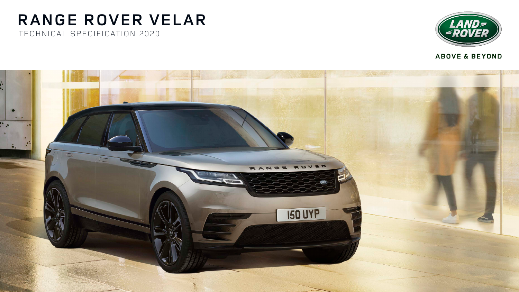# **RANGE ROVER VELAR** TECHNICAL SPECIFICATION 2020





### **ABOVE & BEYOND**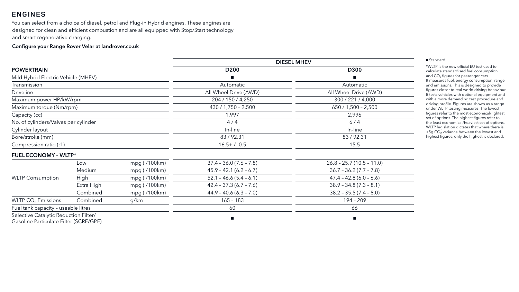|                                                                                 |               |                     | <b>DIESEL MHEV</b>        |                            |  |
|---------------------------------------------------------------------------------|---------------|---------------------|---------------------------|----------------------------|--|
| <b>POWERTRAIN</b>                                                               |               | D <sub>200</sub>    | D300                      |                            |  |
| Mild Hybrid Electric Vehicle (MHEV)                                             |               |                     |                           |                            |  |
| Transmission                                                                    |               |                     | Automatic                 | Automatic                  |  |
| <b>Driveline</b>                                                                |               |                     | All Wheel Drive (AWD)     | All Wheel Drive (AWD)      |  |
| Maximum power HP/kW/rpm                                                         |               |                     | 204 / 150 / 4,250         | 300 / 221 / 4,000          |  |
| Maximum torque (Nm/rpm)                                                         |               |                     | $430 / 1,750 - 2,500$     | $650 / 1,500 - 2,500$      |  |
| Capacity (cc)                                                                   |               |                     | 1,997                     | 2,996                      |  |
| No. of cylinders/Valves per cylinder                                            |               |                     | 4/4                       | 6/4                        |  |
| Cylinder layout                                                                 |               |                     | In-line                   | In-line                    |  |
| Bore/stroke (mm)                                                                |               |                     | 83/92.31                  | 83/92.31                   |  |
| Compression ratio (:1)                                                          |               | $16.5 + / -0.5$     | 15.5                      |                            |  |
| <b>FUEL ECONOMY - WLTP*</b>                                                     |               |                     |                           |                            |  |
|                                                                                 | Low           | mpg (I/100km)       | $37.4 - 36.0 (7.6 - 7.8)$ | $26.8 - 25.7(10.5 - 11.0)$ |  |
|                                                                                 | <b>Medium</b> | $mpg$ ( $l/100km$ ) | $45.9 - 42.1 (6.2 - 6.7)$ | $36.7 - 36.2(7.7 - 7.8)$   |  |
| <b>WLTP Consumption</b>                                                         | High          | $mpg$ ( $l/100km$ ) | $52.1 - 46.6(5.4 - 6.1)$  | $47.4 - 42.8(6.0 - 6.6)$   |  |
|                                                                                 | Extra High    | mpg (I/100km)       | $42.4 - 37.3(6.7 - 7.6)$  | $38.9 - 34.8(7.3 - 8.1)$   |  |
|                                                                                 | Combined      | $mpg$ ( $l/100km$ ) | $44.9 - 40.6 (6.3 - 7.0)$ | $38.2 - 35.5(7.4 - 8.0)$   |  |
| WLTP $CO2$ Emissions                                                            | Combined      | g/km                | $165 - 183$               | $194 - 209$                |  |
| Fuel tank capacity - useable litres                                             |               | 60                  | 66                        |                            |  |
| Selective Catalytic Reduction Filter/<br>Gasoline Particulate Filter (SCRF/GPF) |               |                     |                           | $\blacksquare$             |  |

| <b>0300</b>   |
|---------------|
|               |
| :omatic       |
| Drive (AWD)   |
| 21 / 4,000    |
| $500 - 2,500$ |
| .996          |
| $6/4$         |
| า-line        |
| / 92.31       |
| 15.5          |
|               |

#### Standard.

\*WLTP is the new official EU test used to calculate standardised fuel consumption and  $CO<sub>2</sub>$  figures for passenger cars. It measures fuel, energy consumption, range and emissions. This is designed to provide figures closer to real-world driving behaviour. It tests vehicles with optional equipment and with a more demanding test procedure and driving profile. Figures are shown as a range under WLTP testing measures. The lowest figures refer to the most economical/lightest set of options. The highest figures refer to the least economical/heaviest set of options. WLTP legislation dictates that where there is <5g CO₂ variance between the lowest and highest figures, only the highest is declared.

### **ENGINES**

You can select from a choice of diesel, petrol and Plug-in Hybrid engines. These engines are designed for clean and efficient combustion and are all equipped with Stop/Start technology and smart regenerative charging.

#### Configure your Range Rover Velar at landrover.co.uk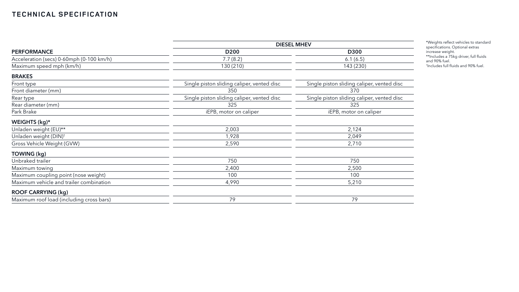|                                          | <b>DIESEL MHEV</b>                         |                                            |  |  |
|------------------------------------------|--------------------------------------------|--------------------------------------------|--|--|
| <b>PERFORMANCE</b>                       | D <sub>200</sub>                           | <b>D300</b><br>6.1(6.5)                    |  |  |
| Acceleration (secs) 0-60mph (0-100 km/h) | 7.7(8.2)                                   |                                            |  |  |
| Maximum speed mph (km/h)                 | 130(210)                                   | 143 (230)                                  |  |  |
| <b>BRAKES</b>                            |                                            |                                            |  |  |
| Front type                               | Single piston sliding caliper, vented disc | Single piston sliding caliper, vented disc |  |  |
| Front diameter (mm)                      | 350                                        | 370                                        |  |  |
| Rear type                                | Single piston sliding caliper, vented disc | Single piston sliding caliper, vented disc |  |  |
| Rear diameter (mm)                       | 325                                        | 325                                        |  |  |
| Park Brake                               | iEPB, motor on caliper                     | iEPB, motor on caliper                     |  |  |
| WEIGHTS (kg)*                            |                                            |                                            |  |  |
| Unladen weight (EU)**                    | 2,003                                      | 2,124                                      |  |  |
| Unladen weight (DIN) <sup>+</sup>        | 1,928                                      | 2,049                                      |  |  |
| Gross Vehicle Weight (GVW)               | 2,590                                      | 2,710                                      |  |  |
| <b>TOWING (kg)</b>                       |                                            |                                            |  |  |
| Unbraked trailer                         | 750                                        | 750                                        |  |  |
| Maximum towing                           | 2,400                                      | 2,500                                      |  |  |
| Maximum coupling point (nose weight)     | 100                                        | 100                                        |  |  |
| Maximum vehicle and trailer combination  | 4,990                                      | 5,210                                      |  |  |
| <b>ROOF CARRYING (kg)</b>                |                                            |                                            |  |  |
| Maximum roof load (including cross bars) | 79                                         | 79                                         |  |  |

\*Weights reflect vehicles to standard specifications. Optional extras increase weight. \*\*Includes a 75kg driver, full fluids

and 90% fuel. † Includes full fluids and 90% fuel.

### **TECHNICAL SPECIFICATION**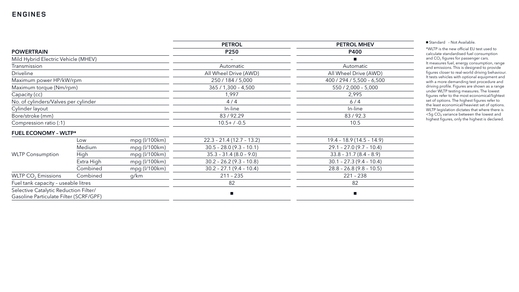### **ENGINES**

| <b>OL MHEV</b>   |
|------------------|
| P400             |
|                  |
| tomatic          |
| Drive (AWD)      |
| / 5,500 - 6,500  |
| ,000 - 5,000     |
| 2,995            |
| 6/4              |
| n-line           |
| 3/92.3           |
| 10.5             |
|                  |
| $9(14.5 - 14.9)$ |
| $.0(9.7 - 10.4)$ |
| $1.7(8.4 - 8.9)$ |
| $.3(9.4 - 10.4)$ |
| $.8(9.8 - 10.5)$ |
| $1 - 238$        |
|                  |

|                                                                                 |            |               | <b>PETROL</b>              | <b>PETROL MHEV</b>         |  |
|---------------------------------------------------------------------------------|------------|---------------|----------------------------|----------------------------|--|
| <b>POWERTRAIN</b>                                                               |            |               | P250                       | <b>P400</b>                |  |
| Mild Hybrid Electric Vehicle (MHEV)                                             |            |               |                            |                            |  |
| Transmission                                                                    |            |               | Automatic                  | Automatic                  |  |
| <b>Driveline</b>                                                                |            |               | All Wheel Drive (AWD)      | All Wheel Drive (AWD)      |  |
| Maximum power HP/kW/rpm                                                         |            |               | 250 / 184 / 5,000          | 400 / 294 / 5,500 - 6,500  |  |
| Maximum torque (Nm/rpm)                                                         |            |               | $365 / 1,300 - 4,500$      | $550 / 2,000 - 5,000$      |  |
| Capacity (cc)                                                                   |            |               | 1,997                      | 2,995                      |  |
| No. of cylinders/Valves per cylinder                                            |            |               | 4/4                        | 6/4                        |  |
| Cylinder layout                                                                 |            |               | In-line                    | In-line                    |  |
| Bore/stroke (mm)                                                                |            |               | 83/92.29                   | 83/92.3                    |  |
| Compression ratio (:1)                                                          |            |               | $10.5+ / -0.5$             | 10.5                       |  |
| <b>FUEL ECONOMY - WLTP*</b>                                                     |            |               |                            |                            |  |
|                                                                                 | Low        | mpg (I/100km) | $22.3 - 21.4(12.7 - 13.2)$ | $19.4 - 18.9(14.5 - 14.9)$ |  |
|                                                                                 | Medium     | mpg (I/100km) | $30.5 - 28.0 (9.3 - 10.1)$ | $29.1 - 27.0(9.7 - 10.4)$  |  |
| <b>WLTP Consumption</b>                                                         | High       | mpg (I/100km) | $35.3 - 31.4 (8.0 - 9.0)$  | $33.8 - 31.7 (8.4 - 8.9)$  |  |
|                                                                                 | Extra High | mpg (I/100km) | $30.2 - 26.2 (9.3 - 10.8)$ | $30.1 - 27.3(9.4 - 10.4)$  |  |
|                                                                                 | Combined   | mpg (l/100km) | $30.2 - 27.1(9.4 - 10.4)$  | $28.8 - 26.8(9.8 - 10.5)$  |  |
| WLTP CO <sub>2</sub> Emissions                                                  | Combined   | g/km          | $211 - 235$                | $221 - 238$                |  |
| Fuel tank capacity - useable litres                                             |            | 82            | 82                         |                            |  |
| Selective Catalytic Reduction Filter/<br>Gasoline Particulate Filter (SCRF/GPF) |            |               |                            |                            |  |

■ Standard - Not Available.

\*WLTP is the new official EU test used to calculate standardised fuel consumption and CO 2 figures for passenger cars. It measures fuel, energy consumption, range and emissions. This is designed to provide figures closer to real-world driving behaviour. It tests vehicles with optional equipment and with a more demanding test procedure and driving profile. Figures are shown as a range under WLTP testing measures. The lowest figures refer to the most economical/lightest set of options. The highest figures refer to the least economical/heaviest set of options. WLTP legislation dictates that where there is <5g CO₂ variance between the lowest and highest figures, only the highest is declared.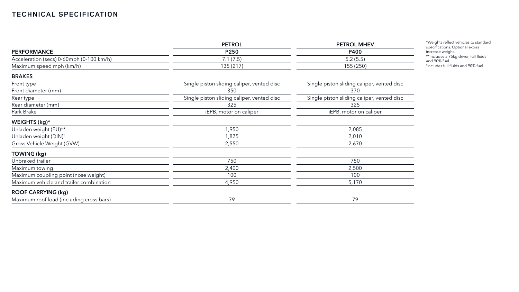|                                          | <b>PETROL</b>                              | <b>PETROL MHEV</b><br>P400<br>5.2(5.5)<br>155 (250) |  |
|------------------------------------------|--------------------------------------------|-----------------------------------------------------|--|
| <b>PERFORMANCE</b>                       | P250                                       |                                                     |  |
| Acceleration (secs) 0-60mph (0-100 km/h) | 7.1(7.5)                                   |                                                     |  |
| Maximum speed mph (km/h)                 | 135 (217)                                  |                                                     |  |
| <b>BRAKES</b>                            |                                            |                                                     |  |
| Front type                               | Single piston sliding caliper, vented disc | Single piston sliding caliper, vented disc          |  |
| Front diameter (mm)                      | 350                                        | 370                                                 |  |
| Rear type                                | Single piston sliding caliper, vented disc | Single piston sliding caliper, vented disc          |  |
| Rear diameter (mm)                       | 325                                        | 325                                                 |  |
| Park Brake                               | iEPB, motor on caliper                     | iEPB, motor on caliper                              |  |
| WEIGHTS (kg)*                            |                                            |                                                     |  |
| Unladen weight (EU)**                    | 1,950                                      | 2,085                                               |  |
| Unladen weight (DIN) <sup>+</sup>        | 1,875                                      | 2,010                                               |  |
| Gross Vehicle Weight (GVW)               | 2,550                                      | 2,670                                               |  |
| <b>TOWING (kg)</b>                       |                                            |                                                     |  |
| Unbraked trailer                         | 750                                        | 750                                                 |  |
| Maximum towing                           | 2,400                                      | 2,500                                               |  |
| Maximum coupling point (nose weight)     | 100                                        | 100                                                 |  |
| Maximum vehicle and trailer combination  | 4,950                                      | 5,170                                               |  |
| <b>ROOF CARRYING (kg)</b>                |                                            |                                                     |  |
| Maximum roof load (including cross bars) | 79                                         | 79                                                  |  |

\*Weights reflect vehicles to standard specifications. Optional extras increase weight. \*\*Includes a 75kg driver, full fluids and 90% fuel.

† Includes full fluids and 90% fuel.

### **TECHNICAL SPECIFICATION**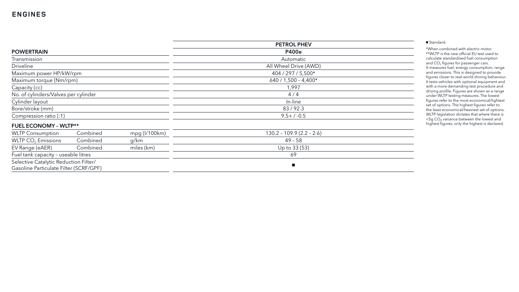|                                        |          |               | <b>PETROL PHEV</b>         |  |  |
|----------------------------------------|----------|---------------|----------------------------|--|--|
| <b>POWERTRAIN</b>                      |          |               | <b>P400e</b>               |  |  |
| Transmission                           |          |               | Automatic                  |  |  |
| <b>Driveline</b>                       |          |               | All Wheel Drive (AWD)      |  |  |
| Maximum power HP/kW/rpm                |          |               | 404 / 297 / 5,500*         |  |  |
| Maximum torque (Nm/rpm)                |          |               | 640 / 1,500 - 4,400*       |  |  |
| Capacity (cc)                          |          |               | 1,997                      |  |  |
| No. of cylinders/Valves per cylinder   |          |               | 4/4                        |  |  |
| Cylinder layout                        |          |               | In-line                    |  |  |
| Bore/stroke (mm)                       |          |               | 83/92.3                    |  |  |
| Compression ratio (:1)                 |          |               | $9.5 + / -0.5$             |  |  |
| <b>FUEL ECONOMY - WLTP**</b>           |          |               |                            |  |  |
| <b>WLTP Consumption</b>                | Combined | mpg (l/100km) | $130.2 - 109.9(2.2 - 2.6)$ |  |  |
| WLTP CO <sub>2</sub> Emissions         | Combined | g/km          | $49 - 58$                  |  |  |
| EV Range (eAER)                        | Combined | miles (km)    | Up to 33 (53)              |  |  |
| Fuel tank capacity - useable litres    |          |               | 69                         |  |  |
| Selective Catalytic Reduction Filter/  |          |               | $\blacksquare$             |  |  |
| Gasoline Particulate Filter (SCRF/GPF) |          |               |                            |  |  |

Standard.

\*When combined with electric motor. \*\*WLTP is the new official EU test used to calculate standardised fuel consumption and CO 2 figures for passenger cars. It measures fuel, energy consumption, range and emissions. This is designed to provide figures closer to real-world driving behaviour. It tests vehicles with optional equipment and with a more demanding test procedure and driving profile. Figures are shown as a range under WLTP testing measures. The lowest figures refer to the most economical/lightest set of options. The highest figures refer to the least economical/heaviest set of options. WLTP legislation dictates that where there is <5g CO₂ variance between the lowest and highest figures, only the highest is declared.

### **ENGINES**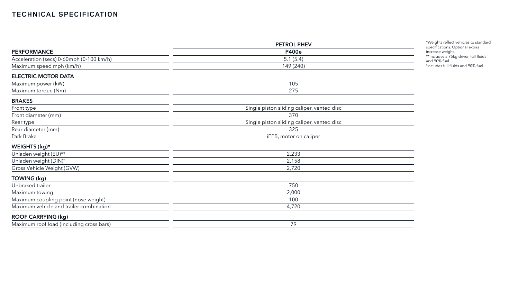|                                          | <b>PETROL PHEV</b><br><b>P400e</b>         |  |  |
|------------------------------------------|--------------------------------------------|--|--|
| <b>PERFORMANCE</b>                       |                                            |  |  |
| Acceleration (secs) 0-60mph (0-100 km/h) | 5.1(5.4)                                   |  |  |
| Maximum speed mph (km/h)                 | 149 (240)                                  |  |  |
| <b>ELECTRIC MOTOR DATA</b>               |                                            |  |  |
| Maximum power (kW)                       | 105                                        |  |  |
| Maximum torque (Nm)                      | 275                                        |  |  |
| <b>BRAKES</b>                            |                                            |  |  |
| Front type                               | Single piston sliding caliper, vented disc |  |  |
| Front diameter (mm)                      | 370                                        |  |  |
| Rear type                                | Single piston sliding caliper, vented disc |  |  |
| Rear diameter (mm)                       | 325                                        |  |  |
| Park Brake                               | iEPB, motor on caliper                     |  |  |
| WEIGHTS (kg)*                            |                                            |  |  |
| Unladen weight (EU)**                    | 2,233                                      |  |  |
| Unladen weight (DIN) <sup>+</sup>        | 2,158                                      |  |  |
| Gross Vehicle Weight (GVW)               | 2,720                                      |  |  |
| TOWING (kg)                              |                                            |  |  |
| Unbraked trailer                         | 750                                        |  |  |
| Maximum towing                           | 2,000                                      |  |  |
| Maximum coupling point (nose weight)     | 100                                        |  |  |
| Maximum vehicle and trailer combination  | 4,720                                      |  |  |
| <b>ROOF CARRYING (kg)</b>                |                                            |  |  |
| Maximum roof load (including cross bars) | 79                                         |  |  |

\*Weights reflect vehicles to standard specifications. Optional extras increase weight. \*\*Includes a 75kg driver, full fluids and 90% fuel.

† Includes full fluids and 90% fuel.

--

 $\overline{\phantom{a}}$ 

 $\sim$ 

<u> 1989 - Johann Stein, Amerikaansk politiker (</u>

### **TECHNICAL SPECIFICATION**